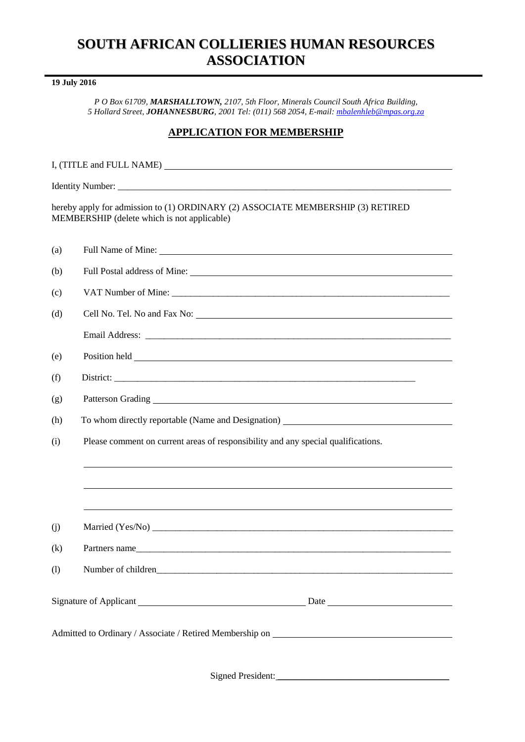# **SOUTH AFRICAN COLLIERIES HUMAN RESOURCES ASSOCIATION**

# **19 July 2016**

*P O Box 61709, MARSHALLTOWN, 2107, 5th Floor, Minerals Council South Africa Building, 5 Hollard Street, JOHANNESBURG, 2001 Tel: (011) 568 2054, E-mail: [mbalenhleb@mpas.org.za](mailto:mbalenhleb@mpas.org.za)*

# **APPLICATION FOR MEMBERSHIP**

| hereby apply for admission to (1) ORDINARY (2) ASSOCIATE MEMBERSHIP (3) RETIRED<br>MEMBERSHIP (delete which is not applicable) |                                                                                                                                                                                                                                      |
|--------------------------------------------------------------------------------------------------------------------------------|--------------------------------------------------------------------------------------------------------------------------------------------------------------------------------------------------------------------------------------|
| (a)                                                                                                                            | Full Name of Mine: <u>the contract of the contract of the contract of the contract of the contract of the contract of the contract of the contract of the contract of the contract of the contract of the contract of the contra</u> |
| (b)                                                                                                                            | Full Postal address of Mine: Manual Assembly Postal and Postal address of Mine:                                                                                                                                                      |
| (c)                                                                                                                            |                                                                                                                                                                                                                                      |
| (d)                                                                                                                            |                                                                                                                                                                                                                                      |
|                                                                                                                                |                                                                                                                                                                                                                                      |
| (e)                                                                                                                            |                                                                                                                                                                                                                                      |
| (f)                                                                                                                            |                                                                                                                                                                                                                                      |
| (g)                                                                                                                            |                                                                                                                                                                                                                                      |
| (h)                                                                                                                            | To whom directly reportable (Name and Designation) _____________________________                                                                                                                                                     |
| (i)                                                                                                                            | Please comment on current areas of responsibility and any special qualifications.                                                                                                                                                    |
|                                                                                                                                | <u> 1989 - John Stone, amerikansk politiker (d. 1989)</u>                                                                                                                                                                            |
|                                                                                                                                |                                                                                                                                                                                                                                      |
|                                                                                                                                | ,我们也不会有什么。""我们的人,我们也不会有什么?""我们的人,我们也不会有什么?""我们的人,我们也不会有什么?""我们的人,我们也不会有什么?""我们的人                                                                                                                                                     |
| (i)                                                                                                                            |                                                                                                                                                                                                                                      |
| (k)                                                                                                                            | Partners name                                                                                                                                                                                                                        |
| (1)                                                                                                                            |                                                                                                                                                                                                                                      |
|                                                                                                                                |                                                                                                                                                                                                                                      |
|                                                                                                                                |                                                                                                                                                                                                                                      |
|                                                                                                                                |                                                                                                                                                                                                                                      |

Signed President: